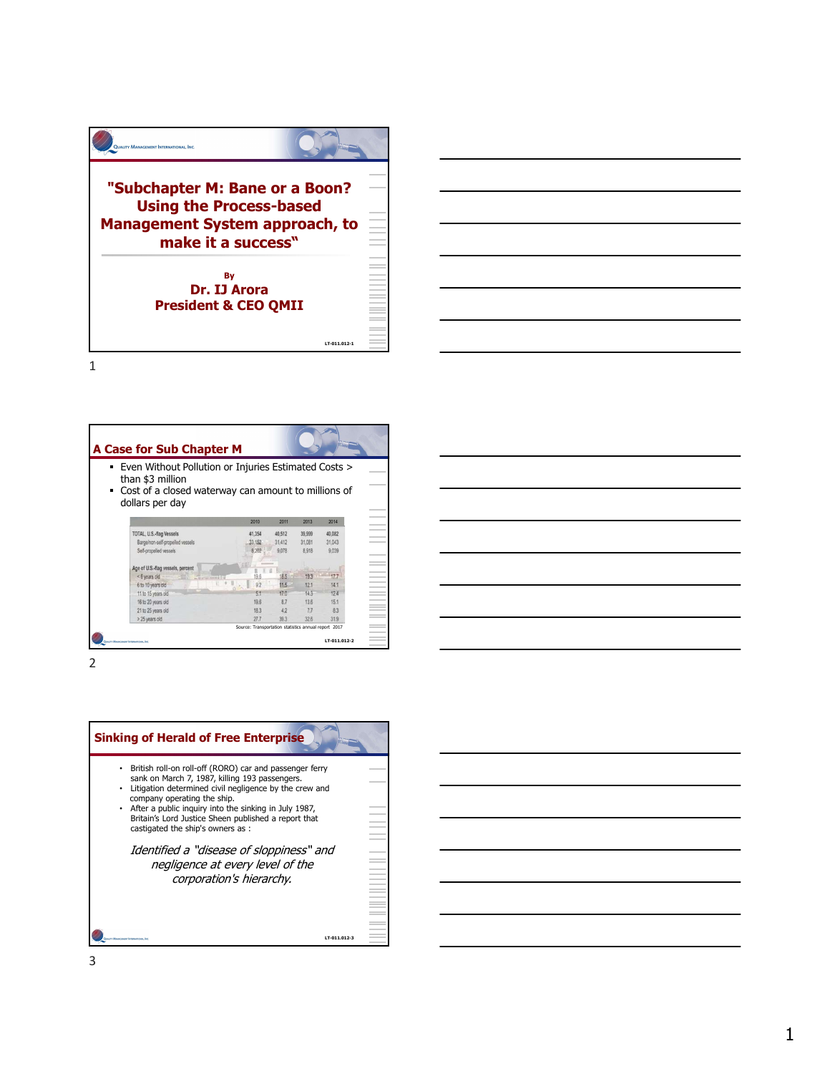

| <b>A Case for Sub Chapter M</b>                                                          |                                                      |        |                  |                 |  |  |  |
|------------------------------------------------------------------------------------------|------------------------------------------------------|--------|------------------|-----------------|--|--|--|
| • Even Without Pollution or Injuries Estimated Costs ><br>than \$3 million               |                                                      |        |                  |                 |  |  |  |
| Cost of a closed waterway can amount to millions of<br>$\blacksquare$<br>dollars per day |                                                      |        |                  |                 |  |  |  |
|                                                                                          | 2010                                                 | 2011   | 2014<br>2013     |                 |  |  |  |
| TOTAL, U.S.-flag Vessels                                                                 | 41,354                                               | 40,512 | 39.999<br>40,082 |                 |  |  |  |
| Bargelnon-self-propelled vessels                                                         | 33.152                                               | 31,412 | 31.043<br>31,081 |                 |  |  |  |
| Self-propelled vessels                                                                   | 8.202                                                | 9,078  | 9,039<br>8.918   |                 |  |  |  |
| Age of U.S.-flag vessels, percent                                                        |                                                      |        |                  |                 |  |  |  |
| <6 years old<br><b>SENIOR AND STRUCKS</b>                                                | 19.6                                                 |        | 17.7<br>193      |                 |  |  |  |
| 6 to 10 years old                                                                        | 92<br>$\sim$ .                                       | 11.5   | 12.1<br>14.1     | $\sim$          |  |  |  |
| 11 to 15 years old                                                                       |                                                      | 17.0   | 14.3<br>12.4     | <b>Contract</b> |  |  |  |
| 16 to 20 years old                                                                       | 19.6                                                 | 87     | 13.6<br>15.1     |                 |  |  |  |
| 21 to 25 years old                                                                       | 183                                                  | 42     | 7.7<br>83        |                 |  |  |  |
| > 25 years old                                                                           | 27.7                                                 | 39.3   | 32.6<br>31.9     |                 |  |  |  |
|                                                                                          | Source: Transportation statistics annual report 2017 |        |                  | <b>Contract</b> |  |  |  |
| QUALITY MANAGEMENT INTERNATIONAL, INC.                                                   |                                                      |        | LT-011.012-2     |                 |  |  |  |

2 and 2 and 2 and 2 and 2 and 2 and 2 and 2 and 2 and 2 and 2 and 2 and 2 and 2 and 2 and 2 and 2 and 2 and 2



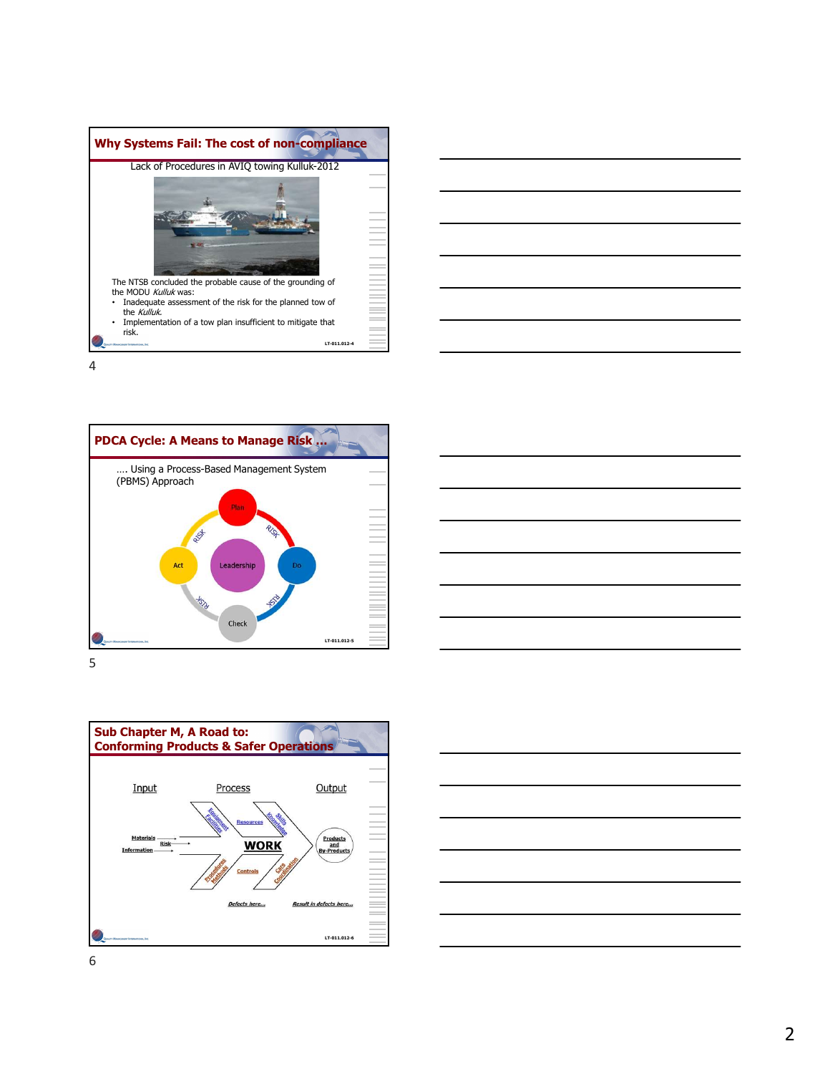









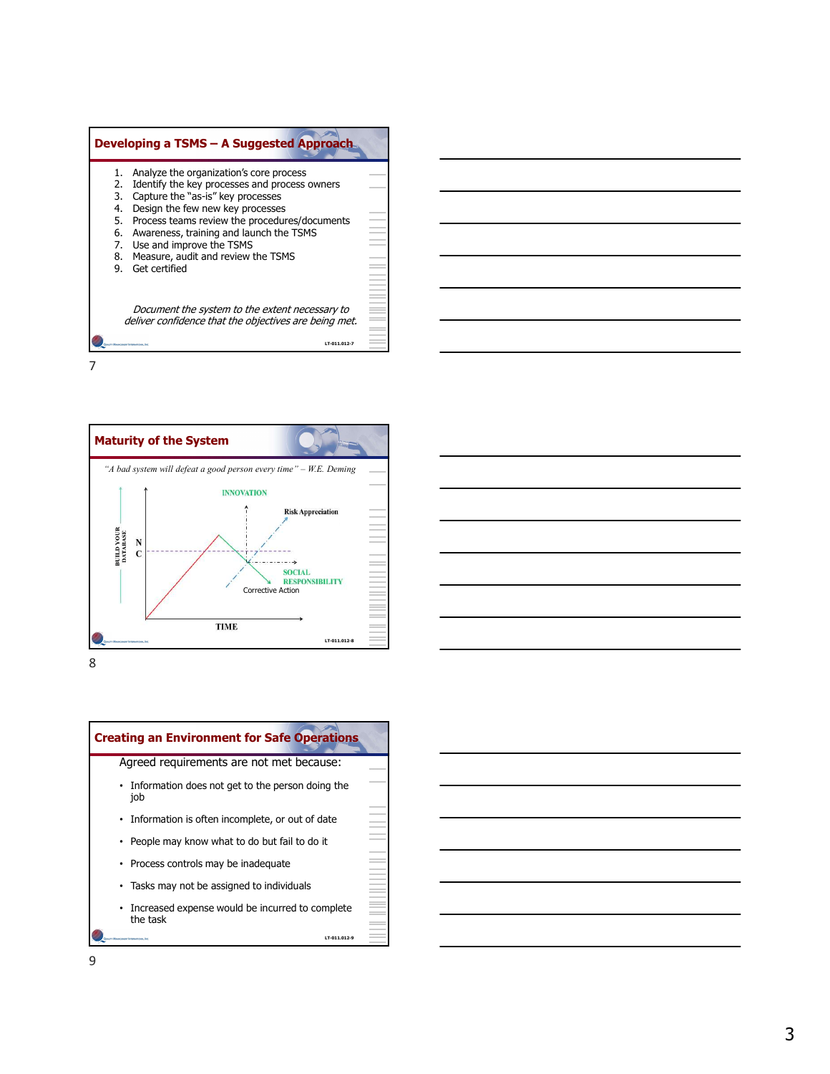









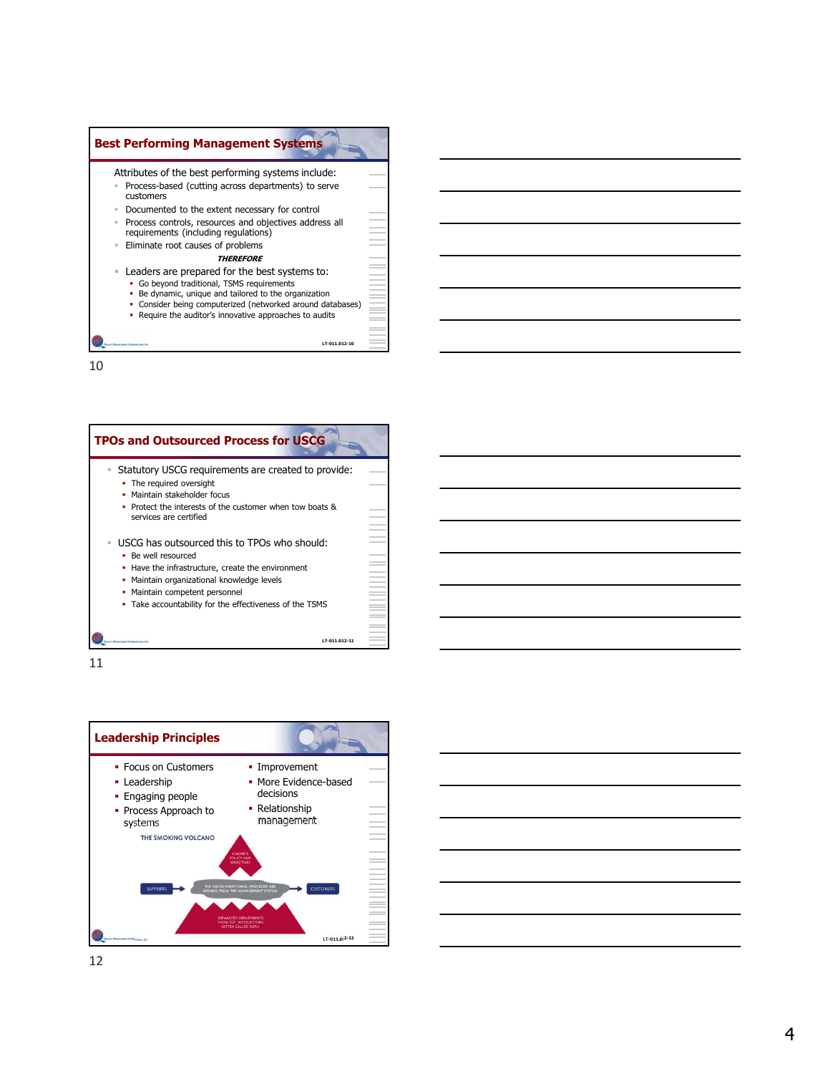



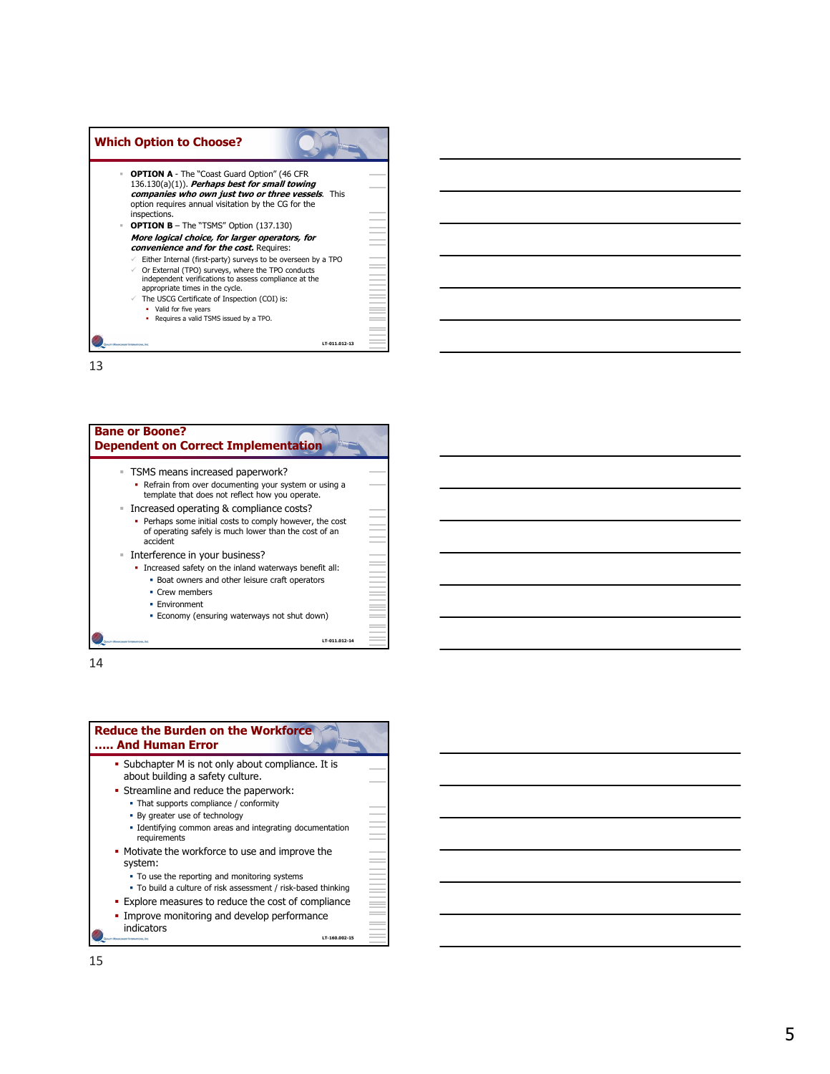| <b>Which Option to Choose?</b>                                                                                                                                |          |  |
|---------------------------------------------------------------------------------------------------------------------------------------------------------------|----------|--|
| <b>OPTION A</b> - The "Coast Guard Option" (46 CFR<br>$\mathbb{R}^n$ .                                                                                        |          |  |
| 136.130(a)(1)). Perhaps best for small towing<br>companies who own just two or three vessels. This                                                            |          |  |
| option requires annual visitation by the CG for the<br>inspections.                                                                                           |          |  |
| <b>OPTION B</b> - The "TSMS" Option (137.130)<br>$\mathbb{R}$ .                                                                                               |          |  |
| More logical choice, for larger operators, for<br>convenience and for the cost. Requires:                                                                     | i<br>I   |  |
| Either Internal (first-party) surveys to be overseen by a TPO<br>$\checkmark$                                                                                 | $\equiv$ |  |
| Or External (TPO) surveys, where the TPO conducts<br>$\checkmark$<br>independent verifications to assess compliance at the<br>appropriate times in the cycle. |          |  |
| The USCG Certificate of Inspection (COI) is:<br>✓                                                                                                             |          |  |
| • Valid for five years<br>• Requires a valid TSMS issued by a TPO.                                                                                            |          |  |
|                                                                                                                                                               |          |  |
|                                                                                                                                                               |          |  |



| <b>Reduce the Burden on the Workforce</b><br>And Human Error                                                        |                       |
|---------------------------------------------------------------------------------------------------------------------|-----------------------|
| • Subchapter M is not only about compliance. It is<br>about building a safety culture.                              |                       |
| • Streamline and reduce the paperwork:<br>• That supports compliance / conformity<br>• By greater use of technology |                       |
| . Identifying common areas and integrating documentation<br>requirements                                            |                       |
| • Motivate the workforce to use and improve the<br>system:<br>• To use the reporting and monitoring systems         |                       |
| • To build a culture of risk assessment / risk-based thinking                                                       | E<br>E<br>E<br>E<br>E |
| . Explore measures to reduce the cost of compliance<br>• Improve monitoring and develop performance                 |                       |
| indicators<br>LT-160.002-15<br>Assortionary Internationals                                                          |                       |